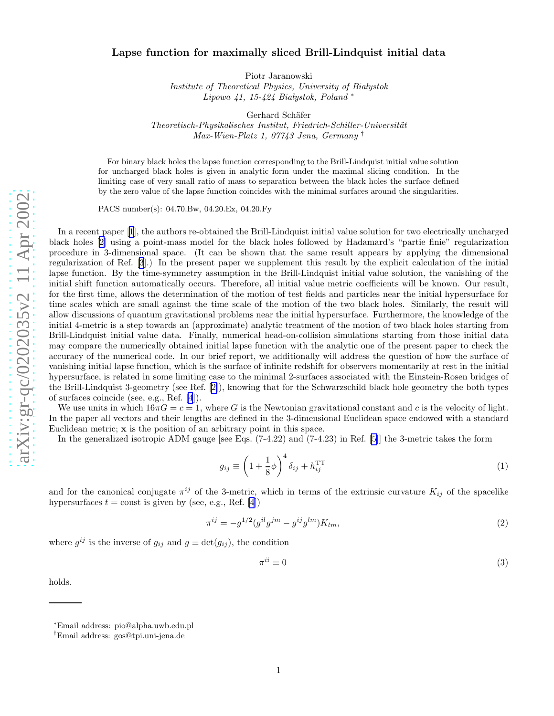## <span id="page-0-0"></span>Lapse function for maximally sliced Brill-Lindquist initial data

Piotr Jaranowski

Institute of Theoretical Physics, University of Białystok Lipowa  $41, 15-424$  Białystok, Poland\*

Gerhard Schäfer

Theoretisch-Physikalisches Institut, Friedrich-Schiller-Universität Max-Wien-Platz 1, 07743 Jena, Germany †

For binary black holes the lapse function corresponding to the Brill-Lindquist initial value solution for uncharged black holes is given in analytic form under the maximal slicing condition. In the limiting case of very small ratio of mass to separation between the black holes the surface defined by the zero value of the lapse function coincides with the minimal surfaces around the singularities.

PACS number(s): 04.70.Bw, 04.20.Ex, 04.20.Fy

In a recent paper [\[1](#page-3-0)], the authors re-obtained the Brill-Lindquist initial value solution for two electrically uncharged black holes[[2\]](#page-3-0) using a point-mass model for the black holes followed by Hadamard's "partie finie" regularization procedure in 3-dimensional space. (It can be shown that the same result appears by applying the dimensional regularization of Ref. [\[3](#page-3-0)].) In the present paper we supplement this result by the explicit calculation of the initial lapse function. By the time-symmetry assumption in the Brill-Lindquist initial value solution, the vanishing of the initial shift function automatically occurs. Therefore, all initial value metric coefficients will be known. Our result, for the first time, allows the determination of the motion of test fields and particles near the initial hypersurface for time scales which are small against the time scale of the motion of the two black holes. Similarly, the result will allow discussions of quantum gravitational problems near the initial hypersurface. Furthermore, the knowledge of the initial 4-metric is a step towards an (approximate) analytic treatment of the motion of two black holes starting from Brill-Lindquist initial value data. Finally, numerical head-on-collision simulations starting from those initial data may compare the numerically obtained initial lapse function with the analytic one of the present paper to check the accuracy of the numerical code. In our brief report, we additionally will address the question of how the surface of vanishing initial lapse function, which is the surface of infinite redshift for observers momentarily at rest in the initial hypersurface, is related in some limiting case to the minimal 2-surfaces associated with the Einstein-Rosen bridges of the Brill-Lindquist 3-geometry (see Ref.[[2\]](#page-3-0)), knowing that for the Schwarzschild black hole geometry the both types of surfaces coincide (see, e.g., Ref. [\[4](#page-3-0)]).

We use units in which  $16\pi G = c = 1$ , where G is the Newtonian gravitational constant and c is the velocity of light. In the paper all vectors and their lengths are defined in the 3-dimensional Euclidean space endowed with a standard Euclidean metric; x is the position of an arbitrary point in this space.

In the generalized isotropic ADM gauge [see Eqs.  $(7-4.22)$  and  $(7-4.23)$  in Ref. [\[5](#page-3-0)]] the 3-metric takes the form

$$
g_{ij} \equiv \left(1 + \frac{1}{8}\phi\right)^4 \delta_{ij} + h_{ij}^{\rm TT}
$$
 (1)

and for the canonical conjugate  $\pi^{ij}$  of the 3-metric, which in terms of the extrinsic curvature  $K_{ij}$  of the spacelike hypersurfaces  $t = \text{const}$  is given by (see, e.g., Ref. [\[4](#page-3-0)])

$$
\pi^{ij} = -g^{1/2} (g^{il} g^{jm} - g^{ij} g^{lm}) K_{lm},\tag{2}
$$

where  $g^{ij}$  is the inverse of  $g_{ij}$  and  $g \equiv \det(g_{ij})$ , the condition

$$
\pi^{ii} \equiv 0 \tag{3}
$$

holds.

<sup>∗</sup>Email address: pio@alpha.uwb.edu.pl

<sup>†</sup>Email address: gos@tpi.uni-jena.de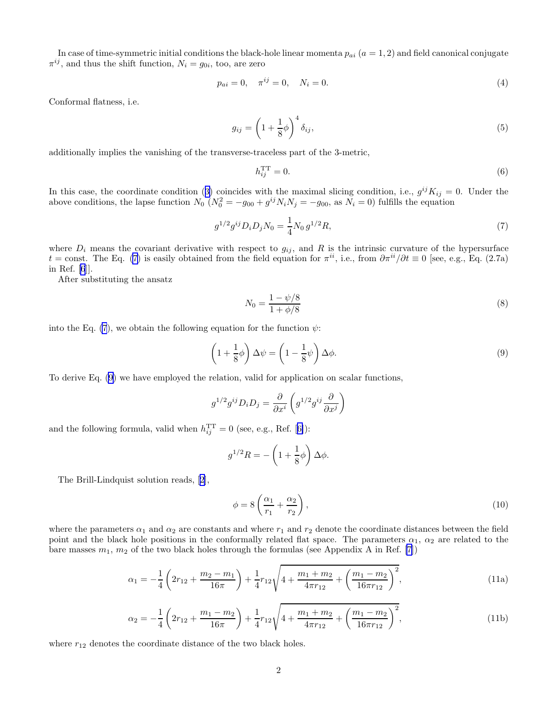<span id="page-1-0"></span>In case of time-symmetric initial conditions the black-hole linear momenta  $p_{ai}$  ( $a = 1, 2$ ) and field canonical conjugate  $\pi^{ij}$ , and thus the shift function,  $N_i = g_{0i}$ , too, are zero

$$
p_{ai} = 0, \quad \pi^{ij} = 0, \quad N_i = 0. \tag{4}
$$

Conformal flatness, i.e.

$$
g_{ij} = \left(1 + \frac{1}{8}\phi\right)^4 \delta_{ij},\tag{5}
$$

additionally implies the vanishing of the transverse-traceless part of the 3-metric,

$$
h_{ij}^{\rm TT} = 0. \tag{6}
$$

Inthis case, the coordinate condition ([3\)](#page-0-0) coincides with the maximal slicing condition, i.e.,  $g^{ij}K_{ij} = 0$ . Under the above conditions, the lapse function  $N_0 (N_0^2 = -g_{00} + g^{ij} N_i N_j = -g_{00}$ , as  $N_i = 0$ ) fulfills the equation

$$
g^{1/2}g^{ij}D_iD_jN_0 = \frac{1}{4}N_0 g^{1/2}R,
$$
\n(7)

where  $D_i$  means the covariant derivative with respect to  $g_{ij}$ , and R is the intrinsic curvature of the hypersurface  $t = \text{const.}$  The Eq. (7) is easily obtained from the field equation for  $\pi^{ii}$ , i.e., from  $\partial \pi^{ii}/\partial t \equiv 0$  [see, e.g., Eq. (2.7a) in Ref. [\[6](#page-3-0)]].

After substituting the ansatz

$$
N_0 = \frac{1 - \psi/8}{1 + \phi/8}
$$
 (8)

into the Eq. (7), we obtain the following equation for the function  $\psi$ :

$$
\left(1 + \frac{1}{8}\phi\right)\Delta\psi = \left(1 - \frac{1}{8}\psi\right)\Delta\phi.
$$
\n(9)

To derive Eq. (9) we have employed the relation, valid for application on scalar functions,

$$
g^{1/2}g^{ij}D_iD_j = \frac{\partial}{\partial x^i} \left( g^{1/2}g^{ij} \frac{\partial}{\partial x^j} \right)
$$

andthe following formula, valid when  $h_{ij}^{\text{TT}} = 0$  (see, e.g., Ref. [[6\]](#page-3-0)):

$$
g^{1/2}R = -\left(1 + \frac{1}{8}\phi\right)\Delta\phi.
$$

The Brill-Lindquist solution reads, [\[2](#page-3-0)],

$$
\phi = 8\left(\frac{\alpha_1}{r_1} + \frac{\alpha_2}{r_2}\right),\tag{10}
$$

where the parameters  $\alpha_1$  and  $\alpha_2$  are constants and where  $r_1$  and  $r_2$  denote the coordinate distances between the field point and the black hole positions in the conformally related flat space. The parameters  $\alpha_1$ ,  $\alpha_2$  are related to the bare masses  $m_1$ ,  $m_2$  of the two black holes through the formulas (see Appendix A in Ref. [\[7](#page-3-0)])

$$
\alpha_1 = -\frac{1}{4} \left( 2r_{12} + \frac{m_2 - m_1}{16\pi} \right) + \frac{1}{4}r_{12}\sqrt{4 + \frac{m_1 + m_2}{4\pi r_{12}} + \left( \frac{m_1 - m_2}{16\pi r_{12}} \right)^2},\tag{11a}
$$

$$
\alpha_2 = -\frac{1}{4} \left( 2r_{12} + \frac{m_1 - m_2}{16\pi} \right) + \frac{1}{4} r_{12} \sqrt{4 + \frac{m_1 + m_2}{4\pi r_{12}} + \left( \frac{m_1 - m_2}{16\pi r_{12}} \right)^2},\tag{11b}
$$

where  $r_{12}$  denotes the coordinate distance of the two black holes.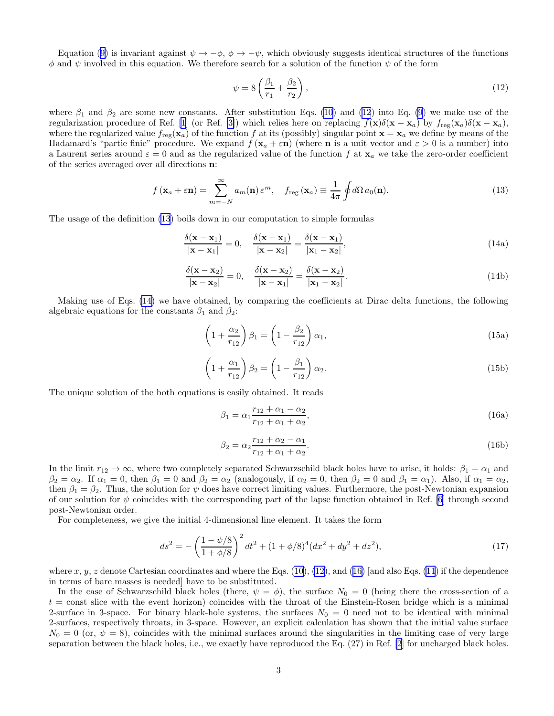Equation [\(9](#page-1-0)) is invariant against  $\psi \to -\phi$ ,  $\phi \to -\psi$ , which obviously suggests identical structures of the functions  $\phi$  and  $\psi$  involved in this equation. We therefore search for a solution of the function  $\psi$  of the form

$$
\psi = 8\left(\frac{\beta_1}{r_1} + \frac{\beta_2}{r_2}\right),\tag{12}
$$

where  $\beta_1$  and  $\beta_2$  are some new constants. After substitution Eqs. [\(10](#page-1-0)) and (12) into Eq. [\(9](#page-1-0)) we make use of the regularization procedure of Ref. [\[1](#page-3-0)] (or Ref. [\[3\]](#page-3-0)) which relies here on replacing  $f(\mathbf{x})\delta(\mathbf{x} - \mathbf{x}_a)$  by  $f_{\text{reg}}(\mathbf{x}_a)\delta(\mathbf{x} - \mathbf{x}_a)$ , where the regularized value  $f_{reg}(x_a)$  of the function f at its (possibly) singular point  $x = x_a$  we define by means of the Hadamard's "partie finie" procedure. We expand  $f(\mathbf{x}_a + \varepsilon \mathbf{n})$  (where **n** is a unit vector and  $\varepsilon > 0$  is a number) into a Laurent series around  $\varepsilon = 0$  and as the regularized value of the function f at  $x_a$  we take the zero-order coefficient of the series averaged over all directions n:

$$
f(\mathbf{x}_a + \varepsilon \mathbf{n}) = \sum_{m=-N}^{\infty} a_m(\mathbf{n}) \varepsilon^m, \quad f_{\text{reg}}(\mathbf{x}_a) \equiv \frac{1}{4\pi} \oint d\Omega \, a_0(\mathbf{n}). \tag{13}
$$

The usage of the definition (13) boils down in our computation to simple formulas

$$
\frac{\delta(\mathbf{x} - \mathbf{x}_1)}{|\mathbf{x} - \mathbf{x}_1|} = 0, \quad \frac{\delta(\mathbf{x} - \mathbf{x}_1)}{|\mathbf{x} - \mathbf{x}_2|} = \frac{\delta(\mathbf{x} - \mathbf{x}_1)}{|\mathbf{x}_1 - \mathbf{x}_2|},
$$
\n(14a)

$$
\frac{\delta(\mathbf{x} - \mathbf{x}_2)}{|\mathbf{x} - \mathbf{x}_2|} = 0, \quad \frac{\delta(\mathbf{x} - \mathbf{x}_2)}{|\mathbf{x} - \mathbf{x}_1|} = \frac{\delta(\mathbf{x} - \mathbf{x}_2)}{|\mathbf{x}_1 - \mathbf{x}_2|}.
$$
\n(14b)

Making use of Eqs. (14) we have obtained, by comparing the coefficients at Dirac delta functions, the following algebraic equations for the constants  $\beta_1$  and  $\beta_2$ :

$$
\left(1 + \frac{\alpha_2}{r_{12}}\right)\beta_1 = \left(1 - \frac{\beta_2}{r_{12}}\right)\alpha_1,\tag{15a}
$$

$$
\left(1 + \frac{\alpha_1}{r_{12}}\right)\beta_2 = \left(1 - \frac{\beta_1}{r_{12}}\right)\alpha_2.
$$
\n(15b)

The unique solution of the both equations is easily obtained. It reads

$$
\beta_1 = \alpha_1 \frac{r_{12} + \alpha_1 - \alpha_2}{r_{12} + \alpha_1 + \alpha_2},\tag{16a}
$$

$$
\beta_2 = \alpha_2 \frac{r_{12} + \alpha_2 - \alpha_1}{r_{12} + \alpha_1 + \alpha_2}.
$$
\n(16b)

In the limit  $r_{12} \to \infty$ , where two completely separated Schwarzschild black holes have to arise, it holds:  $\beta_1 = \alpha_1$  and  $\beta_2 = \alpha_2$ . If  $\alpha_1 = 0$ , then  $\beta_1 = 0$  and  $\beta_2 = \alpha_2$  (analogously, if  $\alpha_2 = 0$ , then  $\beta_2 = 0$  and  $\beta_1 = \alpha_1$ ). Also, if  $\alpha_1 = \alpha_2$ , then  $\beta_1 = \beta_2$ . Thus, the solution for  $\psi$  does have correct limiting values. Furthermore, the post-Newtonian expansion of our solution for  $\psi$  coincides with the corresponding part of the lapse function obtained in Ref. [\[6](#page-3-0)] through second post-Newtonian order.

For completeness, we give the initial 4-dimensional line element. It takes the form

$$
ds^{2} = -\left(\frac{1-\psi/8}{1+\phi/8}\right)^{2}dt^{2} + (1+\phi/8)^{4}(dx^{2} + dy^{2} + dz^{2}),
$$
\n(17)

where x, y, z denote Cartesian coordinates and where the Eqs.  $(10)$ ,  $(12)$ , and  $(16)$  [and also Eqs.  $(11)$  if the dependence in terms of bare masses is needed] have to be substituted.

In the case of Schwarzschild black holes (there,  $\psi = \phi$ ), the surface  $N_0 = 0$  (being there the cross-section of a  $t =$  const slice with the event horizon) coincides with the throat of the Einstein-Rosen bridge which is a minimal 2-surface in 3-space. For binary black-hole systems, the surfaces  $N_0 = 0$  need not to be identical with minimal 2-surfaces, respectively throats, in 3-space. However, an explicit calculation has shown that the initial value surface  $N_0 = 0$  (or,  $\psi = 8$ ), coincides with the minimal surfaces around the singularities in the limiting case of very large separation between the black holes, i.e., we exactly have reproduced the Eq. (27) in Ref. [\[2](#page-3-0)] for uncharged black holes.